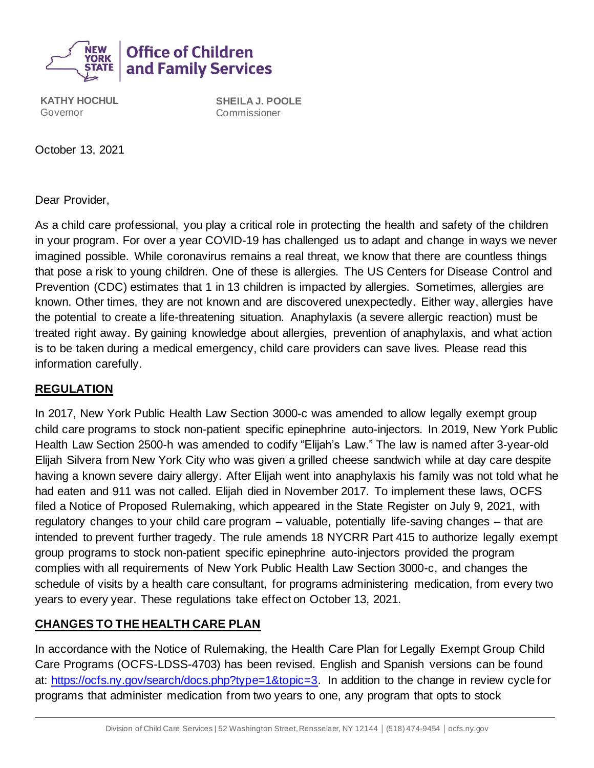

**KATHY HOCHUL** Governor

**SHEILA J. POOLE** Commissioner

October 13, 2021

Dear Provider,

As a child care professional, you play a critical role in protecting the health and safety of the children in your program. For over a year COVID-19 has challenged us to adapt and change in ways we never imagined possible. While coronavirus remains a real threat, we know that there are countless things that pose a risk to young children. One of these is allergies. The US Centers for Disease Control and Prevention (CDC) estimates that 1 in 13 children is impacted by allergies. Sometimes, allergies are known. Other times, they are not known and are discovered unexpectedly. Either way, allergies have the potential to create a life-threatening situation. Anaphylaxis (a severe allergic reaction) must be treated right away. By gaining knowledge about allergies, prevention of anaphylaxis, and what action is to be taken during a medical emergency, child care providers can save lives. Please read this information carefully.

## **REGULATION**

In 2017, New York Public Health Law Section 3000-c was amended to allow legally exempt group child care programs to stock non-patient specific epinephrine auto-injectors. In 2019, New York Public Health Law Section 2500-h was amended to codify "Elijah's Law." The law is named after 3-year-old Elijah Silvera from New York City who was given a grilled cheese sandwich while at day care despite having a known severe dairy allergy. After Elijah went into anaphylaxis his family was not told what he had eaten and 911 was not called. Elijah died in November 2017. To implement these laws, OCFS filed a Notice of Proposed Rulemaking, which appeared in the State Register on July 9, 2021, with regulatory changes to your child care program – valuable, potentially life-saving changes – that are intended to prevent further tragedy. The rule amends 18 NYCRR Part 415 to authorize legally exempt group programs to stock non-patient specific epinephrine auto-injectors provided the program complies with all requirements of New York Public Health Law Section 3000-c, and changes the schedule of visits by a health care consultant, for programs administering medication, from every two years to every year. These regulations take effect on October 13, 2021.

## **CHANGES TO THE HEALTH CARE PLAN**

In accordance with the Notice of Rulemaking, the Health Care Plan for Legally Exempt Group Child Care Programs (OCFS-LDSS-4703) has been revised. English and Spanish versions can be found at: [https://ocfs.ny.gov/search/docs.php?type=1&topic=3.](https://ocfs.ny.gov/search/docs.php?type=1&topic=3) In addition to the change in review cycle for programs that administer medication from two years to one, any program that opts to stock